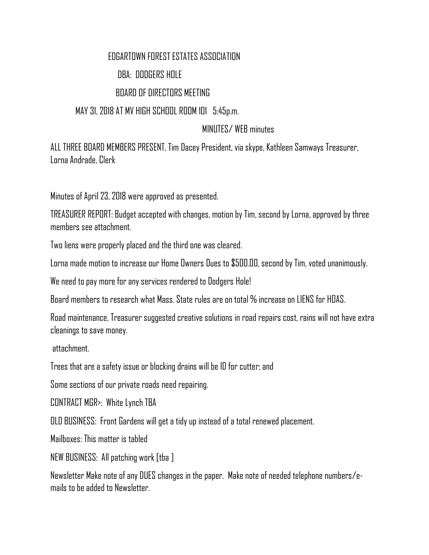## EDGARTOWN FOREST ESTATES ASSOCIATION DBA: DODGERS HOLE BOARD OF DIRECTORS MEETING

MAY 31, 2018 AT MV HIGH SCHOOL ROOM 101 5:45p.m.

## MINUTES/ WEB minutes

ALL THREE BOARD MEMBERS PRESENT, Tim Dacey President, via skype, Kathleen Samways Treasurer, Lorna Andrade, Clerk

Minutes of April 23, 2018 were approved as presented.

TREASURER REPORT: Budget accepted with changes, motion by Tim, second by Lorna, approved by three members see attachment.

Two liens were properly placed and the third one was cleared.

Lorna made motion to increase our Home Owners Dues to \$500.00, second by Tim, voted unanimously.

We need to pay more for any services rendered to Dodgers Hole!

Board members to research what Mass. State rules are on total % increase on LIENS for HOAS.

Road maintenance, Treasurer suggested creative solutions in road repairs cost, rains will not have extra cleanings to save money.

attachment.

Trees that are a safety issue or blocking drains will be ID for cutter; and

Some sections of our private roads need repairing.

CONTRACT MGR>: White Lynch TBA

OLD BUSINESS: Front Gardens will get a tidy up instead of a total renewed placement.

Mailboxes: This matter is tabled

NEW BUSINESS: All patching work [tba ]

Newsletter Make note of any DUES changes in the paper. Make note of needed telephone numbers/emails to be added to Newsletter.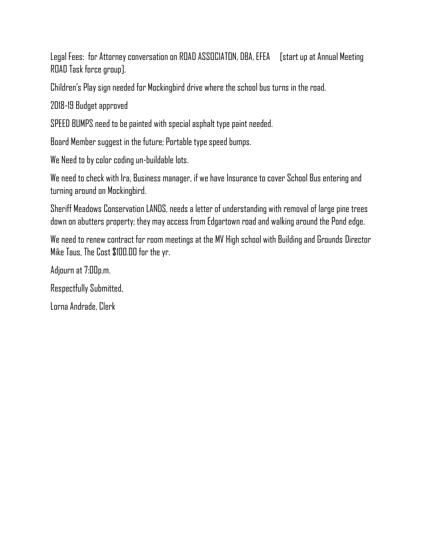Legal Fees: for Attorney conversation on ROAD ASSOCIATON, DBA, EFEA [start up at Annual Meeting ROAD Task force group].

Children's Play sign needed for Mockingbird drive where the school bus turns in the road.

2018-19 Budget approved

SPEED BUMPS need to be painted with special asphalt type paint needed.

Board Member suggest in the future; Portable type speed bumps.

We Need to by color coding un-buildable lots.

We need to check with Ira, Business manager, if we have Insurance to cover School Bus entering and turning around on Mockingbird.

Sheriff Meadows Conservation LANDS, needs a letter of understanding with removal of large pine trees down on abutters property; they may access from Edgartown road and walking around the Pond edge.

We need to renew contract for room meetings at the MV High school with Building and Grounds Director Mike Taus, The Cost \$100.00 for the yr.

Adjourn at 7:00p.m.

Respectfully Submitted,

Lorna Andrade, Clerk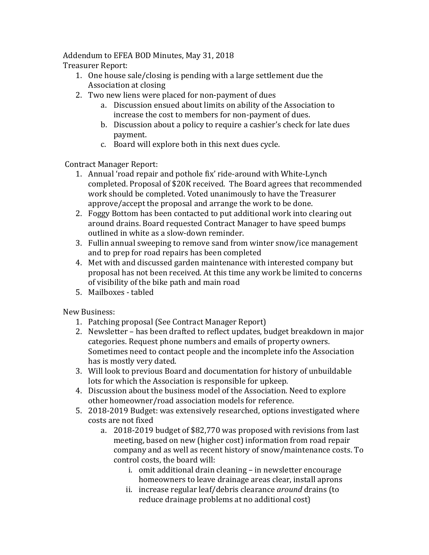Addendum to EFEA BOD Minutes, May 31, 2018

Treasurer Report: 

- 1. One house sale/closing is pending with a large settlement due the Association at closing
- 2. Two new liens were placed for non-payment of dues
	- a. Discussion ensued about limits on ability of the Association to increase the cost to members for non-payment of dues.
	- b. Discussion about a policy to require a cashier's check for late dues payment.
	- c. Board will explore both in this next dues cycle.

Contract Manager Report:

- 1. Annual 'road repair and pothole fix' ride-around with White-Lynch completed. Proposal of \$20K received. The Board agrees that recommended work should be completed. Voted unanimously to have the Treasurer approve/accept the proposal and arrange the work to be done.
- 2. Foggy Bottom has been contacted to put additional work into clearing out around drains. Board requested Contract Manager to have speed bumps outlined in white as a slow-down reminder.
- 3. Fullin annual sweeping to remove sand from winter snow/ice management and to prep for road repairs has been completed
- 4. Met with and discussed garden maintenance with interested company but proposal has not been received. At this time any work be limited to concerns of visibility of the bike path and main road
- 5. Mailboxes tabled

New Business:

- 1. Patching proposal (See Contract Manager Report)
- 2. Newsletter has been drafted to reflect updates, budget breakdown in major categories. Request phone numbers and emails of property owners. Sometimes need to contact people and the incomplete info the Association has is mostly very dated.
- 3. Will look to previous Board and documentation for history of unbuildable lots for which the Association is responsible for upkeep.
- 4. Discussion about the business model of the Association. Need to explore other homeowner/road association models for reference.
- 5. 2018-2019 Budget: was extensively researched, options investigated where costs are not fixed
	- a. 2018-2019 budget of \$82,770 was proposed with revisions from last meeting, based on new (higher cost) information from road repair company and as well as recent history of snow/maintenance costs. To control costs, the board will:
		- i. omit additional drain cleaning in newsletter encourage homeowners to leave drainage areas clear, install aprons
		- ii. increase regular leaf/debris clearance *around* drains (to reduce drainage problems at no additional cost)